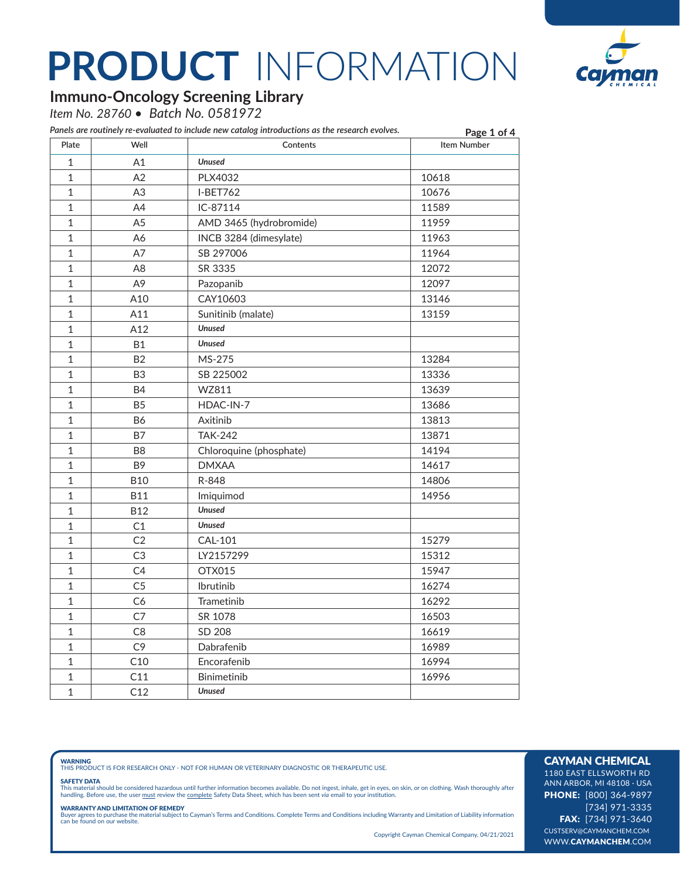

### **Immuno-Oncology Screening Library**

*Item No. 28760 • Batch No. 0581972*

| Plate          | Well           | Contents                | Page 1 of 4<br><b>Item Number</b> |
|----------------|----------------|-------------------------|-----------------------------------|
| $\mathbf 1$    | A1             | <b>Unused</b>           |                                   |
| $\mathbf{1}$   | A2             | PLX4032                 | 10618                             |
| $\mathbf{1}$   | A <sub>3</sub> | <b>I-BET762</b>         | 10676                             |
| 1              | A4             | IC-87114                | 11589                             |
| 1              | A <sub>5</sub> | AMD 3465 (hydrobromide) | 11959                             |
| 1              | A6             | INCB 3284 (dimesylate)  | 11963                             |
| $\mathbf{1}$   | A7             | SB 297006               | 11964                             |
| 1              | A8             | SR 3335                 | 12072                             |
| $\mathbf{1}$   | A <sub>9</sub> | Pazopanib               | 12097                             |
| $\mathbf{1}$   | A10            | CAY10603                | 13146                             |
| 1              | A11            | Sunitinib (malate)      | 13159                             |
| 1              | A12            | <b>Unused</b>           |                                   |
| $\mathbf{1}$   | <b>B1</b>      | <b>Unused</b>           |                                   |
| $\mathbf{1}$   | B <sub>2</sub> | MS-275                  | 13284                             |
| 1              | B <sub>3</sub> | SB 225002               | 13336                             |
| $\mathbf{1}$   | <b>B4</b>      | WZ811                   | 13639                             |
| $\mathbf{1}$   | <b>B5</b>      | HDAC-IN-7               | 13686                             |
| $\mathbf{1}$   | <b>B6</b>      | Axitinib                | 13813                             |
| 1              | <b>B7</b>      | <b>TAK-242</b>          | 13871                             |
| $\mathbf{1}$   | B <sub>8</sub> | Chloroquine (phosphate) | 14194                             |
| $\mathbf{1}$   | B <sub>9</sub> | <b>DMXAA</b>            | 14617                             |
| $\mathbf{1}$   | <b>B10</b>     | R-848                   | 14806                             |
| $\mathbf{1}$   | <b>B11</b>     | Imiquimod               | 14956                             |
| $\mathbf{1}$   | <b>B12</b>     | <b>Unused</b>           |                                   |
| $\mathbf 1$    | C1             | <b>Unused</b>           |                                   |
| $\mathbf{1}$   | C <sub>2</sub> | <b>CAL-101</b>          | 15279                             |
| $\mathbf{1}$   | C <sub>3</sub> | LY2157299               | 15312                             |
| $\mathbf{1}$   | C <sub>4</sub> | OTX015                  | 15947                             |
| $\overline{1}$ | C <sub>5</sub> | Ibrutinib               | 16274                             |
| $\mathbf{1}$   | C6             | Trametinib              | 16292                             |
| $\overline{1}$ | C <sub>7</sub> | SR 1078                 | 16503                             |
| $\overline{1}$ | C <sub>8</sub> | SD 208                  | 16619                             |
| $\mathbf{1}$   | C <sub>9</sub> | Dabrafenib              | 16989                             |
| $\overline{1}$ | C10            | Encorafenib             | 16994                             |
| $\mathbf{1}$   | C11            | Binimetinib             | 16996                             |
| $\mathbf{1}$   | C12            | <b>Unused</b>           |                                   |

**WARNING**<br>THIS PRODUCT IS FOR RESEARCH ONLY - NOT FOR HUMAN OR VETERINARY DIAGNOSTIC OR THERAPEUTIC USE.

#### SAFETY DATA

This material should be considered hazardous until further information becomes available. Do not ingest, inhale, get in eyes, on skin, or on clothing. Wash thoroughly after<br>handling. Before use, the user must review the co

**WARRANTY AND LIMITATION OF REMEDY**<br>Buyer agrees to purchase the material subject to Cayman's Terms and Conditions. Complete Terms and Conditions including Warranty and Limitation of Liability information<br>can be found on o

Copyright Cayman Chemical Company, 04/21/2021

### CAYMAN CHEMICAL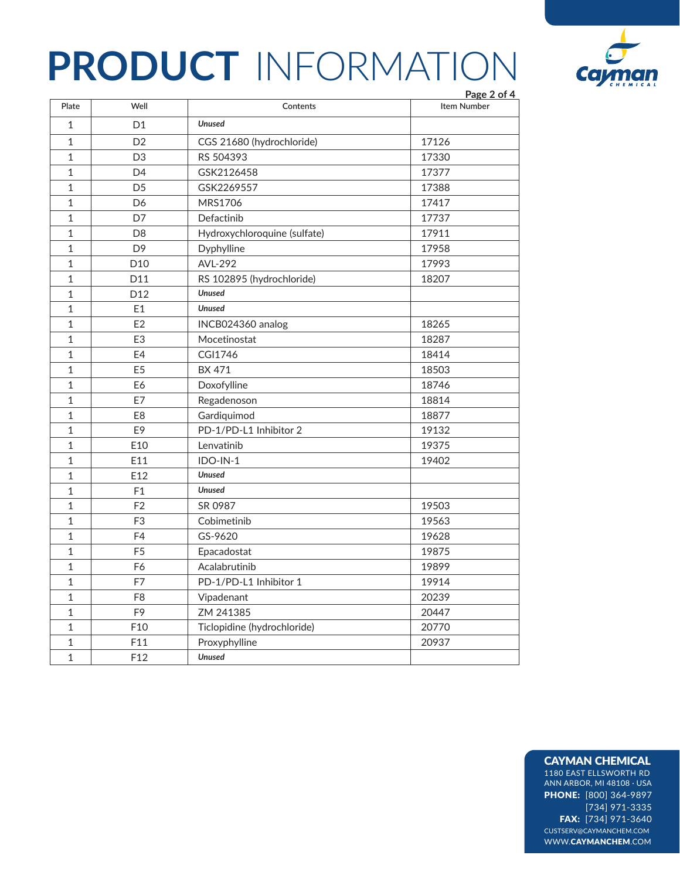

|              |                 |                              | Page 2 of 4 |
|--------------|-----------------|------------------------------|-------------|
| Plate        | Well            | Contents                     | Item Number |
| $\mathbf 1$  | D <sub>1</sub>  | <b>Unused</b>                |             |
| $\mathbf{1}$ | D <sub>2</sub>  | CGS 21680 (hydrochloride)    | 17126       |
| $\mathbf 1$  | D <sub>3</sub>  | RS 504393                    | 17330       |
| $\mathbf{1}$ | D <sub>4</sub>  | GSK2126458                   | 17377       |
| $\mathbf 1$  | D <sub>5</sub>  | GSK2269557                   | 17388       |
| $\mathbf{1}$ | D <sub>6</sub>  | MRS1706                      | 17417       |
| $\mathbf{1}$ | D7              | Defactinib                   | 17737       |
| $\mathbf{1}$ | D <sub>8</sub>  | Hydroxychloroquine (sulfate) | 17911       |
| $\mathbf{1}$ | D <sub>9</sub>  | Dyphylline                   | 17958       |
| $\mathbf 1$  | D <sub>10</sub> | AVL-292                      | 17993       |
| 1            | D11             | RS 102895 (hydrochloride)    | 18207       |
| $\mathbf{1}$ | D <sub>12</sub> | <b>Unused</b>                |             |
| $\mathbf{1}$ | E1              | <b>Unused</b>                |             |
| $\mathbf{1}$ | E2              | INCB024360 analog            | 18265       |
| $\mathbf{1}$ | E <sub>3</sub>  | Mocetinostat                 | 18287       |
| 1            | E4              | CGI1746                      | 18414       |
| $\mathbf{1}$ | E <sub>5</sub>  | <b>BX 471</b>                | 18503       |
| $\mathbf{1}$ | E6              | Doxofylline                  | 18746       |
| $\mathbf{1}$ | E7              | Regadenoson                  | 18814       |
| 1            | E <sub>8</sub>  | Gardiquimod                  | 18877       |
| $\mathbf{1}$ | E9              | PD-1/PD-L1 Inhibitor 2       | 19132       |
| 1            | E10             | Lenvatinib                   | 19375       |
| $\mathbf{1}$ | E11             | $IDO-IN-1$                   | 19402       |
| $\mathbf{1}$ | E12             | <b>Unused</b>                |             |
| 1            | F1              | <b>Unused</b>                |             |
| $\mathbf{1}$ | F <sub>2</sub>  | SR 0987                      | 19503       |
| $\mathbf{1}$ | F <sub>3</sub>  | Cobimetinib                  | 19563       |
| $\mathbf{1}$ | F4              | GS-9620                      | 19628       |
| 1            | F <sub>5</sub>  | Epacadostat                  | 19875       |
| 1            | F <sub>6</sub>  | Acalabrutinib                | 19899       |
| 1            | F7              | PD-1/PD-L1 Inhibitor 1       | 19914       |
| $\mathbf{1}$ | F <sub>8</sub>  | Vipadenant                   | 20239       |
| $\mathbf{1}$ | F <sub>9</sub>  | ZM 241385                    | 20447       |
| $\mathbf{1}$ | F10             | Ticlopidine (hydrochloride)  | 20770       |
| $\mathbf 1$  | F11             | Proxyphylline                | 20937       |
| $\mathbf{1}$ | F12             | <b>Unused</b>                |             |

### CAYMAN CHEMICAL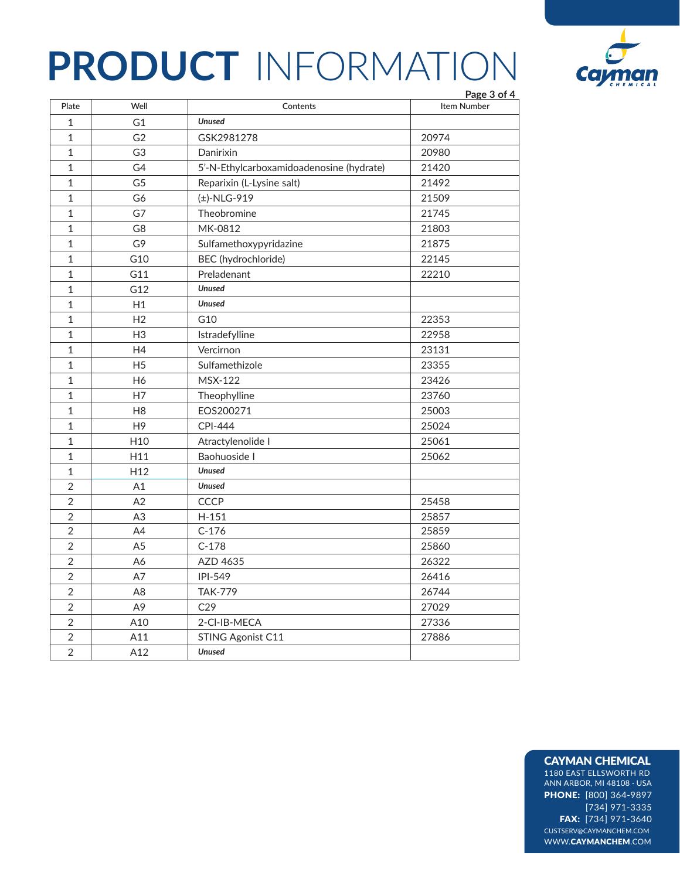

|                |                 |                                          | Page 3 of 4        |
|----------------|-----------------|------------------------------------------|--------------------|
| Plate          | Well            | Contents                                 | <b>Item Number</b> |
| $\mathbf{1}$   | G <sub>1</sub>  | <b>Unused</b>                            |                    |
| $\mathbf 1$    | G <sub>2</sub>  | GSK2981278                               | 20974              |
| $\mathbf{1}$   | G <sub>3</sub>  | Danirixin                                | 20980              |
| $\mathbf 1$    | G4              | 5'-N-Ethylcarboxamidoadenosine (hydrate) | 21420              |
| $\mathbf{1}$   | G <sub>5</sub>  | Reparixin (L-Lysine salt)                | 21492              |
| $\mathbf 1$    | G6              | (±)-NLG-919                              | 21509              |
| $\mathbf 1$    | G7              | Theobromine                              | 21745              |
| $\mathbf 1$    | G8              | MK-0812                                  | 21803              |
| $\mathbf 1$    | G9              | Sulfamethoxypyridazine                   | 21875              |
| $1\,$          | G10             | BEC (hydrochloride)                      | 22145              |
| $\mathbf 1$    | G11             | Preladenant                              | 22210              |
| $1\,$          | G12             | <b>Unused</b>                            |                    |
| $\mathbf 1$    | H1              | <b>Unused</b>                            |                    |
| $\mathbf 1$    | H <sub>2</sub>  | G10                                      | 22353              |
| $\mathbf 1$    | H <sub>3</sub>  | Istradefylline                           | 22958              |
| $\mathbf{1}$   | H4              | Vercirnon                                | 23131              |
| $\mathbf 1$    | H <sub>5</sub>  | Sulfamethizole                           | 23355              |
| $\mathbf{1}$   | H <sub>6</sub>  | <b>MSX-122</b>                           | 23426              |
| $\mathbf 1$    | H7              | Theophylline                             | 23760              |
| $\mathbf{1}$   | H <sub>8</sub>  | EOS200271                                | 25003              |
| $\mathbf{1}$   | H <sub>9</sub>  | <b>CPI-444</b>                           | 25024              |
| $\mathbf{1}$   | H <sub>10</sub> | Atractylenolide I                        | 25061              |
| $\mathbf{1}$   | H11             | Baohuoside I                             | 25062              |
| $\mathbf 1$    | H <sub>12</sub> | <b>Unused</b>                            |                    |
| $\overline{2}$ | A1              | <b>Unused</b>                            |                    |
| $\overline{2}$ | A2              | <b>CCCP</b>                              | 25458              |
| $\overline{2}$ | A3              | $H-151$                                  | 25857              |
| $\overline{2}$ | A4              | $C-176$                                  | 25859              |
| $\overline{2}$ | A <sub>5</sub>  | $C-178$                                  | 25860              |
| $\overline{2}$ | A6              | AZD 4635                                 | 26322              |
| $\overline{2}$ | A7              | IPI-549                                  | 26416              |
| $\overline{2}$ | A <sub>8</sub>  | <b>TAK-779</b>                           | 26744              |
| $\overline{2}$ | A <sub>9</sub>  | C29                                      | 27029              |
| $\overline{2}$ | A10             | 2-CI-IB-MECA                             | 27336              |
| $\overline{2}$ | A11             | STING Agonist C11                        | 27886              |
| $\overline{2}$ | A12             | <b>Unused</b>                            |                    |

#### CAYMAN CHEMICAL